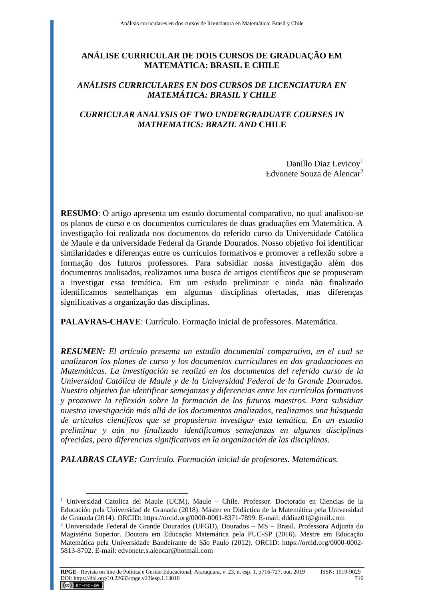# **ANÁLISE CURRICULAR DE DOIS CURSOS DE GRADUAÇÃO EM MATEMÁTICA: BRASIL E CHILE**

# *ANÁLISIS CURRICULARES EN DOS CURSOS DE LICENCIATURA EN MATEMÁTICA: BRASIL Y CHILE*

# *CURRICULAR ANALYSIS OF TWO UNDERGRADUATE COURSES IN MATHEMATICS: BRAZIL AND* **CHILE**

Danillo Diaz Levicoy<sup>1</sup> Edvonete Souza de Alencar<sup>2</sup>

**RESUMO**: O artigo apresenta um estudo documental comparativo, no qual analisou-se os planos de curso e os documentos curriculares de duas graduações em Matemática. A investigação foi realizada nos documentos do referido curso da Universidade Católica de Maule e da universidade Federal da Grande Dourados. Nosso objetivo foi identificar similaridades e diferenças entre os currículos formativos e promover a reflexão sobre a formação dos futuros professores. Para subsidiar nossa investigação além dos documentos analisados, realizamos uma busca de artigos científicos que se propuseram a investigar essa temática. Em um estudo preliminar e ainda não finalizado identificamos semelhanças em algumas disciplinas ofertadas, mas diferenças significativas a organização das disciplinas.

**PALAVRAS-CHAVE**: Currículo. Formação inicial de professores. Matemática.

*RESUMEN: El artículo presenta un estudio documental comparativo, en el cual se analizaron los planes de curso y los documentos curriculares en dos graduaciones en Matemáticas. La investigación se realizó en los documentos del referido curso de la Universidad Católica de Maule y de la Universidad Federal de la Grande Dourados. Nuestro objetivo fue identificar semejanzas y diferencias entre los currículos formativos y promover la reflexión sobre la formación de los futuros maestros. Para subsidiar nuestra investigación más allá de los documentos analizados, realizamos una búsqueda de artículos científicos que se propusieron investigar esta temática. En un estudio preliminar y aún no finalizado identificamos semejanzas en algunas disciplinas ofrecidas, pero diferencias significativas en la organización de las disciplinas.*

*PALABRAS CLAVE: Currículo. Formación inicial de profesores. Matemáticas.*

<sup>1</sup> Universidad Catolica del Maule (UCM), Maule – Chile. Professor. Doctorado en Ciencias de la Educación pela Universidad de Granada (2018). Máster en Didáctica de la Matemática pela Universidad de Granada (2014). ORCID: https://orcid.org/0000-0001-8371-7899. E-mail: dddiaz01@gmail.com

<sup>2</sup> Universidade Federal de Grande Dourados (UFGD), Dourados – MS – Brasil. Professora Adjunta do Magistério Superior. Doutora em Educação Matemática pela PUC-SP (2016). Mestre em Educação Matemática pela Universidade Bandeirante de São Paulo (2012). ORCID: https://orcid.org/0000-0002- 5813-8702. E-mail: edvonete.s.alencar@hotmail.com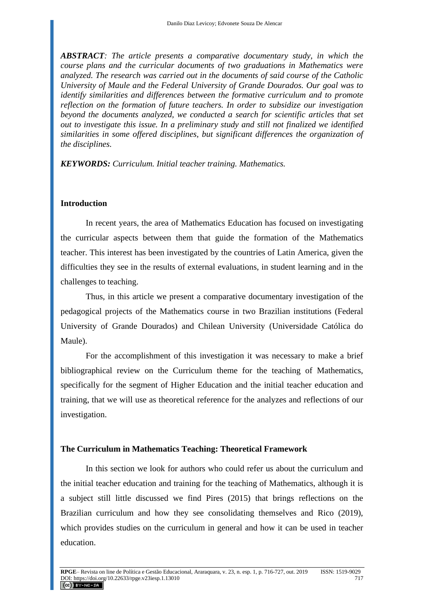*ABSTRACT: The article presents a comparative documentary study, in which the course plans and the curricular documents of two graduations in Mathematics were analyzed. The research was carried out in the documents of said course of the Catholic University of Maule and the Federal University of Grande Dourados. Our goal was to identify similarities and differences between the formative curriculum and to promote reflection on the formation of future teachers. In order to subsidize our investigation beyond the documents analyzed, we conducted a search for scientific articles that set out to investigate this issue. In a preliminary study and still not finalized we identified similarities in some offered disciplines, but significant differences the organization of the disciplines.*

*KEYWORDS: Curriculum. Initial teacher training. Mathematics.*

#### **Introduction**

In recent years, the area of Mathematics Education has focused on investigating the curricular aspects between them that guide the formation of the Mathematics teacher. This interest has been investigated by the countries of Latin America, given the difficulties they see in the results of external evaluations, in student learning and in the challenges to teaching.

Thus, in this article we present a comparative documentary investigation of the pedagogical projects of the Mathematics course in two Brazilian institutions (Federal University of Grande Dourados) and Chilean University (Universidade Católica do Maule).

For the accomplishment of this investigation it was necessary to make a brief bibliographical review on the Curriculum theme for the teaching of Mathematics, specifically for the segment of Higher Education and the initial teacher education and training, that we will use as theoretical reference for the analyzes and reflections of our investigation.

### **The Curriculum in Mathematics Teaching: Theoretical Framework**

In this section we look for authors who could refer us about the curriculum and the initial teacher education and training for the teaching of Mathematics, although it is a subject still little discussed we find Pires (2015) that brings reflections on the Brazilian curriculum and how they see consolidating themselves and Rico (2019), which provides studies on the curriculum in general and how it can be used in teacher education.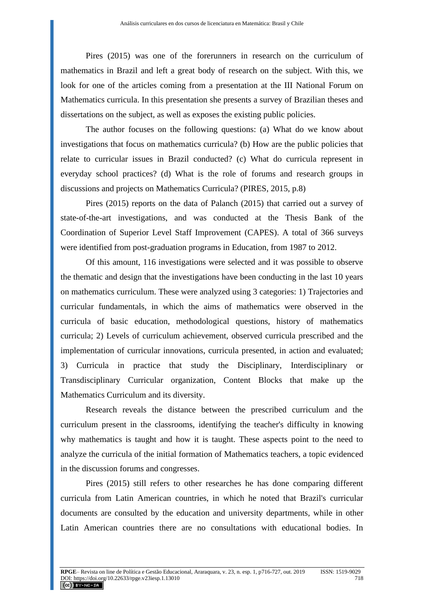Pires (2015) was one of the forerunners in research on the curriculum of mathematics in Brazil and left a great body of research on the subject. With this, we look for one of the articles coming from a presentation at the III National Forum on Mathematics curricula. In this presentation she presents a survey of Brazilian theses and dissertations on the subject, as well as exposes the existing public policies.

The author focuses on the following questions: (a) What do we know about investigations that focus on mathematics curricula? (b) How are the public policies that relate to curricular issues in Brazil conducted? (c) What do curricula represent in everyday school practices? (d) What is the role of forums and research groups in discussions and projects on Mathematics Curricula? (PIRES, 2015, p.8)

Pires (2015) reports on the data of Palanch (2015) that carried out a survey of state-of-the-art investigations, and was conducted at the Thesis Bank of the Coordination of Superior Level Staff Improvement (CAPES). A total of 366 surveys were identified from post-graduation programs in Education, from 1987 to 2012.

Of this amount, 116 investigations were selected and it was possible to observe the thematic and design that the investigations have been conducting in the last 10 years on mathematics curriculum. These were analyzed using 3 categories: 1) Trajectories and curricular fundamentals, in which the aims of mathematics were observed in the curricula of basic education, methodological questions, history of mathematics curricula; 2) Levels of curriculum achievement, observed curricula prescribed and the implementation of curricular innovations, curricula presented, in action and evaluated; 3) Curricula in practice that study the Disciplinary, Interdisciplinary or Transdisciplinary Curricular organization, Content Blocks that make up the Mathematics Curriculum and its diversity.

Research reveals the distance between the prescribed curriculum and the curriculum present in the classrooms, identifying the teacher's difficulty in knowing why mathematics is taught and how it is taught. These aspects point to the need to analyze the curricula of the initial formation of Mathematics teachers, a topic evidenced in the discussion forums and congresses.

Pires (2015) still refers to other researches he has done comparing different curricula from Latin American countries, in which he noted that Brazil's curricular documents are consulted by the education and university departments, while in other Latin American countries there are no consultations with educational bodies. In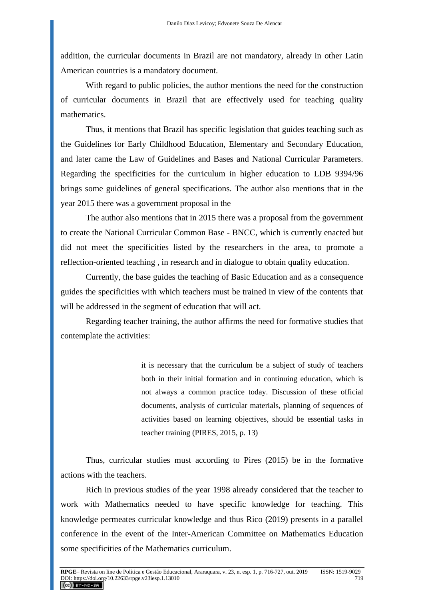addition, the curricular documents in Brazil are not mandatory, already in other Latin American countries is a mandatory document.

With regard to public policies, the author mentions the need for the construction of curricular documents in Brazil that are effectively used for teaching quality mathematics.

Thus, it mentions that Brazil has specific legislation that guides teaching such as the Guidelines for Early Childhood Education, Elementary and Secondary Education, and later came the Law of Guidelines and Bases and National Curricular Parameters. Regarding the specificities for the curriculum in higher education to LDB 9394/96 brings some guidelines of general specifications. The author also mentions that in the year 2015 there was a government proposal in the

The author also mentions that in 2015 there was a proposal from the government to create the National Curricular Common Base - BNCC, which is currently enacted but did not meet the specificities listed by the researchers in the area, to promote a reflection-oriented teaching , in research and in dialogue to obtain quality education.

Currently, the base guides the teaching of Basic Education and as a consequence guides the specificities with which teachers must be trained in view of the contents that will be addressed in the segment of education that will act.

Regarding teacher training, the author affirms the need for formative studies that contemplate the activities:

> it is necessary that the curriculum be a subject of study of teachers both in their initial formation and in continuing education, which is not always a common practice today. Discussion of these official documents, analysis of curricular materials, planning of sequences of activities based on learning objectives, should be essential tasks in teacher training (PIRES, 2015, p. 13)

Thus, curricular studies must according to Pires (2015) be in the formative actions with the teachers.

Rich in previous studies of the year 1998 already considered that the teacher to work with Mathematics needed to have specific knowledge for teaching. This knowledge permeates curricular knowledge and thus Rico (2019) presents in a parallel conference in the event of the Inter-American Committee on Mathematics Education some specificities of the Mathematics curriculum.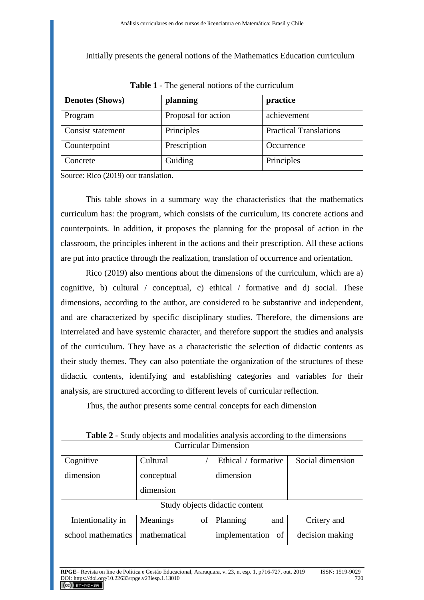Initially presents the general notions of the Mathematics Education curriculum

| <b>Denotes (Shows)</b> | planning            | practice                      |
|------------------------|---------------------|-------------------------------|
| Program                | Proposal for action | achievement                   |
| Consist statement      | Principles          | <b>Practical Translations</b> |
| Counterpoint           | Prescription        | Occurrence                    |
| Concrete               | Guiding             | Principles                    |

**Table 1 -** The general notions of the curriculum

Source: Rico (2019) our translation.

This table shows in a summary way the characteristics that the mathematics curriculum has: the program, which consists of the curriculum, its concrete actions and counterpoints. In addition, it proposes the planning for the proposal of action in the classroom, the principles inherent in the actions and their prescription. All these actions are put into practice through the realization, translation of occurrence and orientation.

Rico (2019) also mentions about the dimensions of the curriculum, which are a) cognitive, b) cultural / conceptual, c) ethical / formative and d) social. These dimensions, according to the author, are considered to be substantive and independent, and are characterized by specific disciplinary studies. Therefore, the dimensions are interrelated and have systemic character, and therefore support the studies and analysis of the curriculum. They have as a characteristic the selection of didactic contents as their study themes. They can also potentiate the organization of the structures of these didactic contents, identifying and establishing categories and variables for their analysis, are structured according to different levels of curricular reflection.

Thus, the author presents some central concepts for each dimension

| Juliiculal Dillielisioil       |                |                      |                  |  |
|--------------------------------|----------------|----------------------|------------------|--|
| Cognitive                      | Cultural       | Ethical / formative  | Social dimension |  |
| dimension                      | conceptual     | dimension            |                  |  |
|                                | dimension      |                      |                  |  |
| Study objects didactic content |                |                      |                  |  |
| Intentionality in              | οf<br>Meanings | Planning<br>and      | Critery and      |  |
| school mathematics             | mathematical   | implementation<br>of | decision making  |  |

**Table 2 -** Study objects and modalities analysis according to the dimensions Curricular Dimension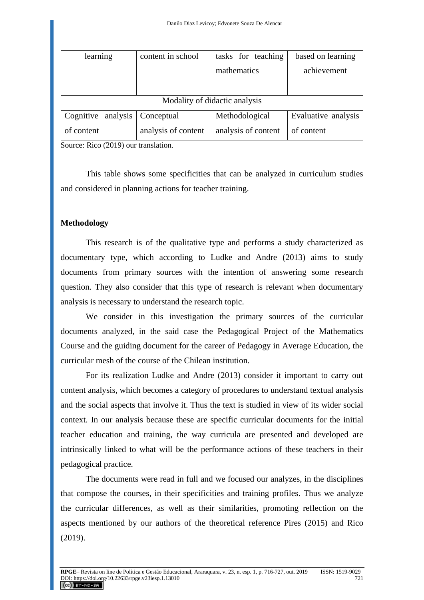| learning                      | content in school   | tasks for teaching  | based on learning   |
|-------------------------------|---------------------|---------------------|---------------------|
|                               |                     | mathematics         | achievement         |
|                               |                     |                     |                     |
|                               |                     |                     |                     |
| Modality of didactic analysis |                     |                     |                     |
| analysis<br>Cognitive         | Conceptual          | Methodological      | Evaluative analysis |
| of content                    | analysis of content | analysis of content | of content          |

Source: Rico (2019) our translation.

This table shows some specificities that can be analyzed in curriculum studies and considered in planning actions for teacher training.

### **Methodology**

This research is of the qualitative type and performs a study characterized as documentary type, which according to Ludke and Andre (2013) aims to study documents from primary sources with the intention of answering some research question. They also consider that this type of research is relevant when documentary analysis is necessary to understand the research topic.

We consider in this investigation the primary sources of the curricular documents analyzed, in the said case the Pedagogical Project of the Mathematics Course and the guiding document for the career of Pedagogy in Average Education, the curricular mesh of the course of the Chilean institution.

For its realization Ludke and Andre (2013) consider it important to carry out content analysis, which becomes a category of procedures to understand textual analysis and the social aspects that involve it. Thus the text is studied in view of its wider social context. In our analysis because these are specific curricular documents for the initial teacher education and training, the way curricula are presented and developed are intrinsically linked to what will be the performance actions of these teachers in their pedagogical practice.

The documents were read in full and we focused our analyzes, in the disciplines that compose the courses, in their specificities and training profiles. Thus we analyze the curricular differences, as well as their similarities, promoting reflection on the aspects mentioned by our authors of the theoretical reference Pires (2015) and Rico (2019).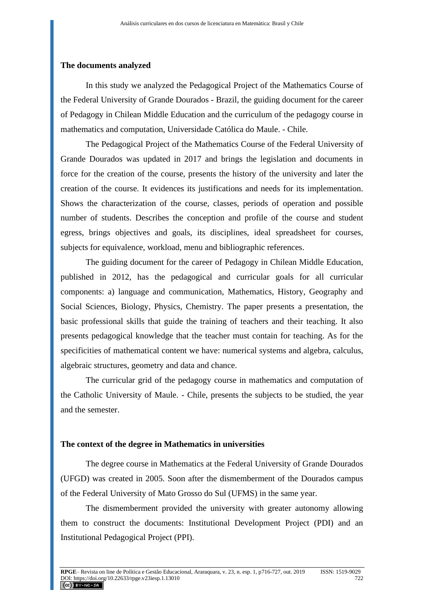### **The documents analyzed**

In this study we analyzed the Pedagogical Project of the Mathematics Course of the Federal University of Grande Dourados - Brazil, the guiding document for the career of Pedagogy in Chilean Middle Education and the curriculum of the pedagogy course in mathematics and computation, Universidade Católica do Maule. - Chile.

The Pedagogical Project of the Mathematics Course of the Federal University of Grande Dourados was updated in 2017 and brings the legislation and documents in force for the creation of the course, presents the history of the university and later the creation of the course. It evidences its justifications and needs for its implementation. Shows the characterization of the course, classes, periods of operation and possible number of students. Describes the conception and profile of the course and student egress, brings objectives and goals, its disciplines, ideal spreadsheet for courses, subjects for equivalence, workload, menu and bibliographic references.

The guiding document for the career of Pedagogy in Chilean Middle Education, published in 2012, has the pedagogical and curricular goals for all curricular components: a) language and communication, Mathematics, History, Geography and Social Sciences, Biology, Physics, Chemistry. The paper presents a presentation, the basic professional skills that guide the training of teachers and their teaching. It also presents pedagogical knowledge that the teacher must contain for teaching. As for the specificities of mathematical content we have: numerical systems and algebra, calculus, algebraic structures, geometry and data and chance.

The curricular grid of the pedagogy course in mathematics and computation of the Catholic University of Maule. - Chile, presents the subjects to be studied, the year and the semester.

#### **The context of the degree in Mathematics in universities**

The degree course in Mathematics at the Federal University of Grande Dourados (UFGD) was created in 2005. Soon after the dismemberment of the Dourados campus of the Federal University of Mato Grosso do Sul (UFMS) in the same year.

The dismemberment provided the university with greater autonomy allowing them to construct the documents: Institutional Development Project (PDI) and an Institutional Pedagogical Project (PPI).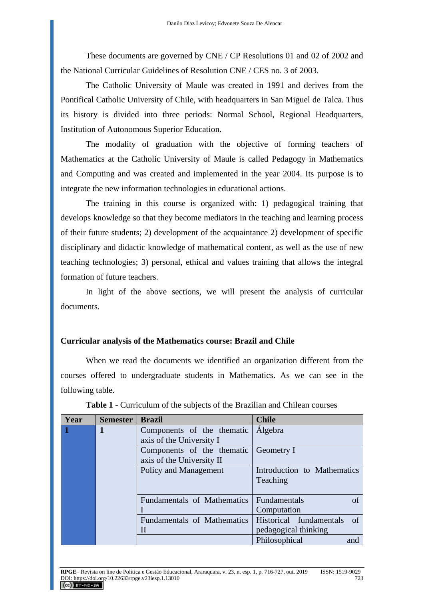These documents are governed by CNE / CP Resolutions 01 and 02 of 2002 and the National Curricular Guidelines of Resolution CNE / CES no. 3 of 2003.

The Catholic University of Maule was created in 1991 and derives from the Pontifical Catholic University of Chile, with headquarters in San Miguel de Talca. Thus its history is divided into three periods: Normal School, Regional Headquarters, Institution of Autonomous Superior Education.

The modality of graduation with the objective of forming teachers of Mathematics at the Catholic University of Maule is called Pedagogy in Mathematics and Computing and was created and implemented in the year 2004. Its purpose is to integrate the new information technologies in educational actions.

The training in this course is organized with: 1) pedagogical training that develops knowledge so that they become mediators in the teaching and learning process of their future students; 2) development of the acquaintance 2) development of specific disciplinary and didactic knowledge of mathematical content, as well as the use of new teaching technologies; 3) personal, ethical and values training that allows the integral formation of future teachers.

In light of the above sections, we will present the analysis of curricular documents.

### **Curricular analysis of the Mathematics course: Brazil and Chile**

When we read the documents we identified an organization different from the courses offered to undergraduate students in Mathematics. As we can see in the following table.

| Year      | <b>Semester</b> | <b>Brazil</b>               | <b>Chile</b>                  |
|-----------|-----------------|-----------------------------|-------------------------------|
| $\vert$ 1 | 1               | Components of the thematic  | <b>Algebra</b>                |
|           |                 | axis of the University I    |                               |
|           |                 | Components of the thematic  | Geometry I                    |
|           |                 | axis of the University II   |                               |
|           |                 | Policy and Management       | Introduction to Mathematics   |
|           |                 |                             | Teaching                      |
|           |                 |                             |                               |
|           |                 | Fundamentals of Mathematics | <b>Fundamentals</b><br>οf     |
|           |                 |                             | Computation                   |
|           |                 | Fundamentals of Mathematics | Historical fundamentals<br>of |
|           |                 | Н                           | pedagogical thinking          |
|           |                 |                             | Philosophical<br>and          |

**Table 1** - Curriculum of the subjects of the Brazilian and Chilean courses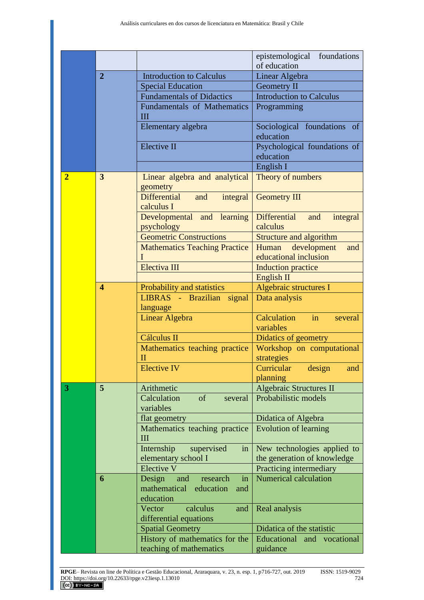|                |                         |                                                                                  | epistemological foundations                          |
|----------------|-------------------------|----------------------------------------------------------------------------------|------------------------------------------------------|
|                |                         |                                                                                  | of education                                         |
|                | $\overline{2}$          | <b>Introduction to Calculus</b>                                                  | Linear Algebra                                       |
|                |                         | <b>Special Education</b>                                                         | <b>Geometry II</b>                                   |
|                |                         | <b>Fundamentals of Didactics</b>                                                 | <b>Introduction to Calculus</b>                      |
|                |                         | <b>Fundamentals of Mathematics</b><br>Ш                                          | Programming                                          |
|                |                         | Elementary algebra                                                               | Sociological foundations of<br>education             |
|                |                         | Elective II                                                                      | Psychological foundations of<br>education            |
|                |                         |                                                                                  | English I                                            |
| $\overline{2}$ | 3                       | Linear algebra and analytical<br>geometry                                        | Theory of numbers                                    |
|                |                         | Differential<br>and<br>integral<br>calculus I                                    | <b>Geometry III</b>                                  |
|                |                         | Developmental and learning<br>psychology                                         | Differential<br>and<br>integral<br>calculus          |
|                |                         | <b>Geometric Constructions</b>                                                   | <b>Structure and algorithm</b>                       |
|                |                         | <b>Mathematics Teaching Practice</b><br>$\mathbf{I}$                             | development<br>Human<br>and<br>educational inclusion |
|                |                         | Electiva III                                                                     | Induction practice                                   |
|                |                         |                                                                                  | English <sub>II</sub>                                |
|                | $\overline{\mathbf{4}}$ | Probability and statistics                                                       | Algebraic structures I                               |
|                |                         | LIBRAS - Brazilian<br>signal                                                     | Data analysis                                        |
|                |                         | language                                                                         |                                                      |
|                |                         | <b>Linear Algebra</b>                                                            | Calculation<br>in<br>several<br>variables            |
|                |                         | <b>Cálculus II</b>                                                               | Didatics of geometry                                 |
|                |                         | Mathematics teaching practice                                                    | Workshop on computational                            |
|                |                         | H                                                                                | strategies                                           |
|                |                         | Elective IV                                                                      | Curricular design and                                |
|                |                         |                                                                                  | planning                                             |
| 3              | 5                       | Arithmetic                                                                       | <b>Algebraic Structures II</b>                       |
|                |                         | Calculation<br>of<br>several<br>variables                                        | Probabilistic models                                 |
|                |                         | flat geometry                                                                    | Didatica of Algebra                                  |
|                |                         | Mathematics teaching practice<br>$\mathbf{III}$                                  | <b>Evolution of learning</b>                         |
|                |                         | Internship<br>supervised<br>in                                                   | New technologies applied to                          |
|                |                         | elementary school I                                                              | the generation of knowledge                          |
|                |                         | <b>Elective V</b>                                                                | Practicing intermediary                              |
|                | 6                       | and<br>Design<br>research<br>in<br>mathematical<br>education<br>and<br>education | <b>Numerical calculation</b>                         |
|                |                         | Vector<br>calculus<br>and                                                        | Real analysis                                        |
|                |                         | differential equations                                                           |                                                      |
|                |                         | <b>Spatial Geometry</b>                                                          | Didatica of the statistic                            |
|                |                         | History of mathematics for the<br>teaching of mathematics                        | Educational and vocational<br>guidance               |
|                |                         |                                                                                  |                                                      |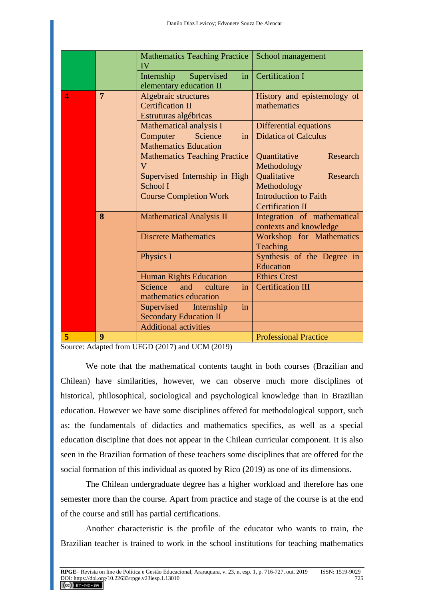|   |                | <b>Mathematics Teaching Practice</b><br>IV                               | School management                                     |
|---|----------------|--------------------------------------------------------------------------|-------------------------------------------------------|
|   |                | Internship<br>Supervised<br>in<br>elementary education II                | <b>Certification I</b>                                |
| 4 | $\overline{7}$ | Algebraic structures<br><b>Certification II</b><br>Estruturas algébricas | History and epistemology of<br>mathematics            |
|   |                | Mathematical analysis I                                                  | Differential equations                                |
|   |                | Computer<br>Science<br>in<br><b>Mathematics Education</b>                | <b>Didatica of Calculus</b>                           |
|   |                | <b>Mathematics Teaching Practice</b><br>$\mathbf V$                      | Research<br>Quantitative<br>Methodology               |
|   |                | Supervised Internship in High<br>School I                                | Qualitative<br>Research<br>Methodology                |
|   |                | <b>Course Completion Work</b>                                            | <b>Introduction to Faith</b>                          |
|   |                |                                                                          | <b>Certification II</b>                               |
|   | 8              | <b>Mathematical Analysis II</b>                                          | Integration of mathematical<br>contexts and knowledge |
|   |                | <b>Discrete Mathematics</b>                                              | Workshop for Mathematics<br><b>Teaching</b>           |
|   |                | Physics I                                                                | Synthesis of the Degree in<br>Education               |
|   |                | <b>Human Rights Education</b>                                            | <b>Ethics Crest</b>                                   |
|   |                | Science<br>in<br>and<br>culture<br>mathematics education                 | <b>Certification III</b>                              |
|   |                | in<br>Supervised Internship<br><b>Secondary Education II</b>             |                                                       |
|   |                | <b>Additional activities</b>                                             |                                                       |
| 5 | 9              |                                                                          | <b>Professional Practice</b>                          |

Source: Adapted from UFGD (2017) and UCM (2019)

We note that the mathematical contents taught in both courses (Brazilian and Chilean) have similarities, however, we can observe much more disciplines of historical, philosophical, sociological and psychological knowledge than in Brazilian education. However we have some disciplines offered for methodological support, such as: the fundamentals of didactics and mathematics specifics, as well as a special education discipline that does not appear in the Chilean curricular component. It is also seen in the Brazilian formation of these teachers some disciplines that are offered for the social formation of this individual as quoted by Rico (2019) as one of its dimensions.

The Chilean undergraduate degree has a higher workload and therefore has one semester more than the course. Apart from practice and stage of the course is at the end of the course and still has partial certifications.

Another characteristic is the profile of the educator who wants to train, the Brazilian teacher is trained to work in the school institutions for teaching mathematics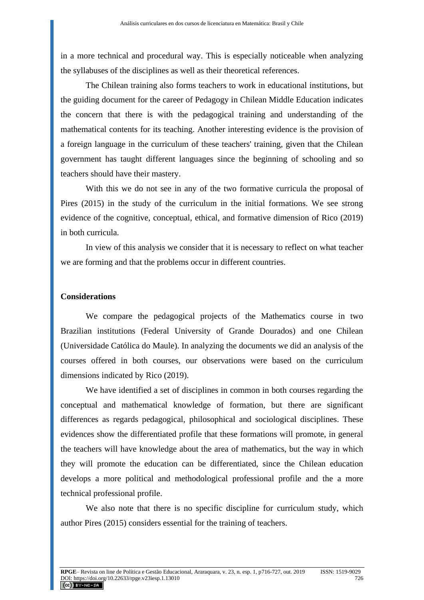in a more technical and procedural way. This is especially noticeable when analyzing the syllabuses of the disciplines as well as their theoretical references.

The Chilean training also forms teachers to work in educational institutions, but the guiding document for the career of Pedagogy in Chilean Middle Education indicates the concern that there is with the pedagogical training and understanding of the mathematical contents for its teaching. Another interesting evidence is the provision of a foreign language in the curriculum of these teachers' training, given that the Chilean government has taught different languages since the beginning of schooling and so teachers should have their mastery.

With this we do not see in any of the two formative curricula the proposal of Pires (2015) in the study of the curriculum in the initial formations. We see strong evidence of the cognitive, conceptual, ethical, and formative dimension of Rico (2019) in both curricula.

In view of this analysis we consider that it is necessary to reflect on what teacher we are forming and that the problems occur in different countries.

#### **Considerations**

We compare the pedagogical projects of the Mathematics course in two Brazilian institutions (Federal University of Grande Dourados) and one Chilean (Universidade Católica do Maule). In analyzing the documents we did an analysis of the courses offered in both courses, our observations were based on the curriculum dimensions indicated by Rico (2019).

We have identified a set of disciplines in common in both courses regarding the conceptual and mathematical knowledge of formation, but there are significant differences as regards pedagogical, philosophical and sociological disciplines. These evidences show the differentiated profile that these formations will promote, in general the teachers will have knowledge about the area of mathematics, but the way in which they will promote the education can be differentiated, since the Chilean education develops a more political and methodological professional profile and the a more technical professional profile.

We also note that there is no specific discipline for curriculum study, which author Pires (2015) considers essential for the training of teachers.